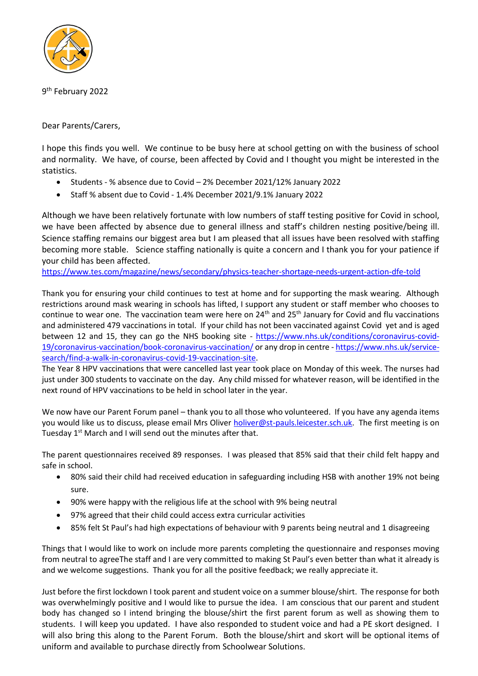

9<sup>th</sup> February 2022

Dear Parents/Carers,

I hope this finds you well. We continue to be busy here at school getting on with the business of school and normality. We have, of course, been affected by Covid and I thought you might be interested in the statistics.

- Students % absence due to Covid 2% December 2021/12% January 2022
- Staff % absent due to Covid 1.4% December 2021/9.1% January 2022

Although we have been relatively fortunate with low numbers of staff testing positive for Covid in school, we have been affected by absence due to general illness and staff's children nesting positive/being ill. Science staffing remains our biggest area but I am pleased that all issues have been resolved with staffing becoming more stable. Science staffing nationally is quite a concern and I thank you for your patience if your child has been affected.

<https://www.tes.com/magazine/news/secondary/physics-teacher-shortage-needs-urgent-action-dfe-told>

Thank you for ensuring your child continues to test at home and for supporting the mask wearing. Although restrictions around mask wearing in schools has lifted, I support any student or staff member who chooses to continue to wear one. The vaccination team were here on 24<sup>th</sup> and 25<sup>th</sup> January for Covid and flu vaccinations and administered 479 vaccinations in total. If your child has not been vaccinated against Covid yet and is aged between 12 and 15, they can go the NHS booking site - [https://www.nhs.uk/conditions/coronavirus-covid-](https://www.nhs.uk/conditions/coronavirus-covid-19/coronavirus-vaccination/book-coronavirus-vaccination/)[19/coronavirus-vaccination/book-coronavirus-vaccination/](https://www.nhs.uk/conditions/coronavirus-covid-19/coronavirus-vaccination/book-coronavirus-vaccination/) or any drop in centre - [https://www.nhs.uk/service](https://www.nhs.uk/service-search/find-a-walk-in-coronavirus-covid-19-vaccination-site)[search/find-a-walk-in-coronavirus-covid-19-vaccination-site.](https://www.nhs.uk/service-search/find-a-walk-in-coronavirus-covid-19-vaccination-site)

The Year 8 HPV vaccinations that were cancelled last year took place on Monday of this week. The nurses had just under 300 students to vaccinate on the day. Any child missed for whatever reason, will be identified in the next round of HPV vaccinations to be held in school later in the year.

We now have our Parent Forum panel – thank you to all those who volunteered. If you have any agenda items you would like us to discuss, please email Mrs Oliver [holiver@st-pauls.leicester.sch.uk.](mailto:holiver@st-pauls.leicester.sch.uk) The first meeting is on Tuesday 1<sup>st</sup> March and I will send out the minutes after that.

The parent questionnaires received 89 responses. I was pleased that 85% said that their child felt happy and safe in school.

- 80% said their child had received education in safeguarding including HSB with another 19% not being sure.
- 90% were happy with the religious life at the school with 9% being neutral
- 97% agreed that their child could access extra curricular activities
- 85% felt St Paul's had high expectations of behaviour with 9 parents being neutral and 1 disagreeing

Things that I would like to work on include more parents completing the questionnaire and responses moving from neutral to agreeThe staff and I are very committed to making St Paul's even better than what it already is and we welcome suggestions. Thank you for all the positive feedback; we really appreciate it.

Just before the first lockdown I took parent and student voice on a summer blouse/shirt. The response for both was overwhelmingly positive and I would like to pursue the idea. I am conscious that our parent and student body has changed so I intend bringing the blouse/shirt the first parent forum as well as showing them to students. I will keep you updated. I have also responded to student voice and had a PE skort designed. I will also bring this along to the Parent Forum. Both the blouse/shirt and skort will be optional items of uniform and available to purchase directly from Schoolwear Solutions.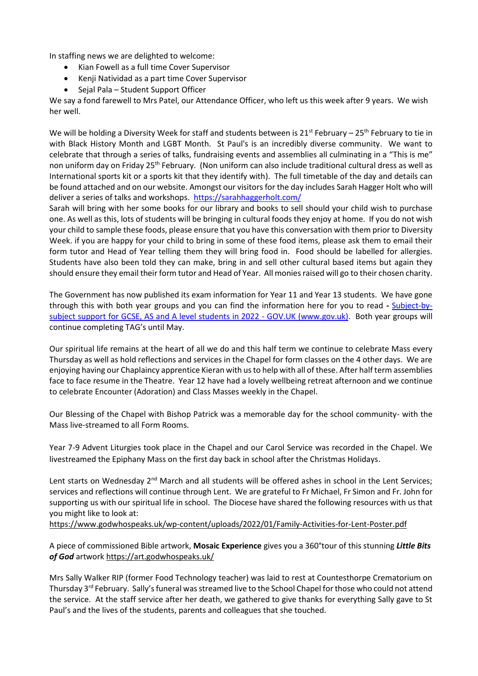In staffing news we are delighted to welcome:

- Kian Fowell as a full time Cover Supervisor
- Kenji Natividad as a part time Cover Supervisor
- Sejal Pala Student Support Officer

We say a fond farewell to Mrs Patel, our Attendance Officer, who left us this week after 9 years. We wish her well.

We will be holding a Diversity Week for staff and students between is  $21^{st}$  February –  $25^{th}$  February to tie in with Black History Month and LGBT Month. St Paul's is an incredibly diverse community. We want to celebrate that through a series of talks, fundraising events and assemblies all culminating in a "This is me" non uniform day on Friday 25<sup>th</sup> February. (Non uniform can also include traditional cultural dress as well as International sports kit or a sports kit that they identify with). The full timetable of the day and details can be found attached and on our website. Amongst our visitors for the day includes Sarah Hagger Holt who will deliver a series of talks and workshops. <https://sarahhaggerholt.com/>

Sarah will bring with her some books for our library and books to sell should your child wish to purchase one. As well as this, lots of students will be bringing in cultural foods they enjoy at home. If you do not wish your child to sample these foods, please ensure that you have this conversation with them prior to Diversity Week. if you are happy for your child to bring in some of these food items, please ask them to email their form tutor and Head of Year telling them they will bring food in. Food should be labelled for allergies. Students have also been told they can make, bring in and sell other cultural based items but again they should ensure they email their form tutor and Head of Year. All monies raised will go to their chosen charity.

The Government has now published its exam information for Year 11 and Year 13 students. We have gone through this with both year groups and you can find the information here for you to read **-** Subject-bysubject support for GCSE, AS and A level students in 2022 - GOV.UK (www.gov.uk). Both year groups will continue completing TAG's until May.

Our spiritual life remains at the heart of all we do and this half term we continue to celebrate Mass every Thursday as well as hold reflections and services in the Chapel for form classes on the 4 other days. We are enjoying having our Chaplaincy apprentice Kieran with us to help with all of these. After half term assemblies face to face resume in the Theatre. Year 12 have had a lovely wellbeing retreat afternoon and we continue to celebrate Encounter (Adoration) and Class Masses weekly in the Chapel.

Our Blessing of the Chapel with Bishop Patrick was a memorable day for the school community- with the Mass live-streamed to all Form Rooms.

Year 7-9 Advent Liturgies took place in the Chapel and our Carol Service was recorded in the Chapel. We livestreamed the Epiphany Mass on the first day back in school after the Christmas Holidays.

Lent starts on Wednesday 2<sup>nd</sup> March and all students will be offered ashes in school in the Lent Services; services and reflections will continue through Lent. We are grateful to Fr Michael, Fr Simon and Fr. John for supporting us with our spiritual life in school. The Diocese have shared the following resources with us that you might like to look at:

<https://www.godwhospeaks.uk/wp-content/uploads/2022/01/Family-Activities-for-Lent-Poster.pdf>

A piece of commissioned Bible artwork, **Mosaic Experience** gives you a 360°tour of this stunning *Little Bits of God* artwork<https://art.godwhospeaks.uk/>

Mrs Sally Walker RIP (former Food Technology teacher) was laid to rest at Countesthorpe Crematorium on Thursday 3<sup>rd</sup> February. Sally's funeral was streamed live to the School Chapel for those who could not attend the service. At the staff service after her death, we gathered to give thanks for everything Sally gave to St Paul's and the lives of the students, parents and colleagues that she touched.